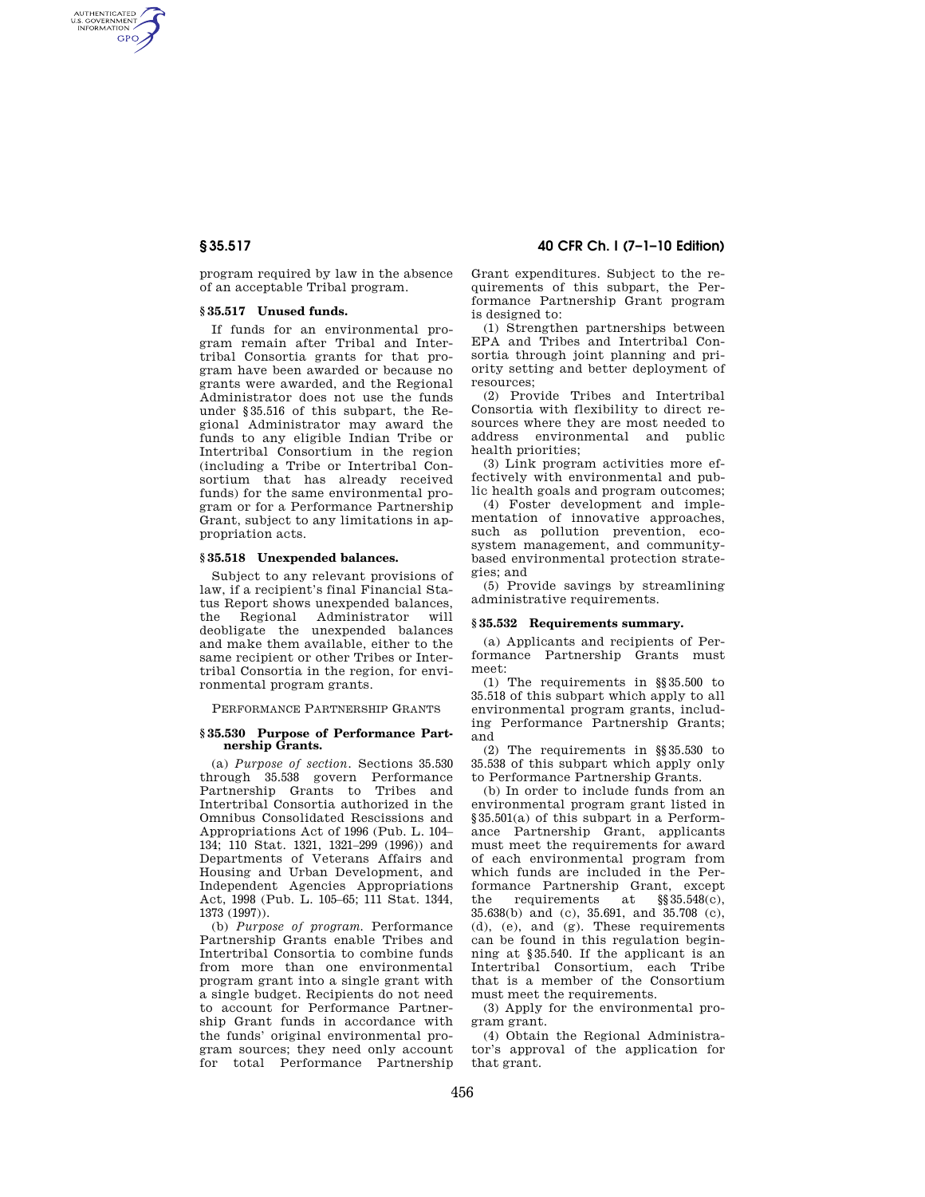AUTHENTICATED<br>U.S. GOVERNMENT<br>INFORMATION **GPO** 

> program required by law in the absence of an acceptable Tribal program.

## **§ 35.517 Unused funds.**

If funds for an environmental program remain after Tribal and Intertribal Consortia grants for that program have been awarded or because no grants were awarded, and the Regional Administrator does not use the funds under §35.516 of this subpart, the Regional Administrator may award the funds to any eligible Indian Tribe or Intertribal Consortium in the region (including a Tribe or Intertribal Consortium that has already received funds) for the same environmental program or for a Performance Partnership Grant, subject to any limitations in appropriation acts.

## **§ 35.518 Unexpended balances.**

Subject to any relevant provisions of law, if a recipient's final Financial Status Report shows unexpended balances, the Regional Administrator will deobligate the unexpended balances and make them available, either to the same recipient or other Tribes or Intertribal Consortia in the region, for environmental program grants.

PERFORMANCE PARTNERSHIP GRANTS

#### **§ 35.530 Purpose of Performance Partnership Grants.**

(a) *Purpose of section.* Sections 35.530 through 35.538 govern Performance Partnership Grants to Tribes and Intertribal Consortia authorized in the Omnibus Consolidated Rescissions and Appropriations Act of 1996 (Pub. L. 104– 134; 110 Stat. 1321, 1321–299 (1996)) and Departments of Veterans Affairs and Housing and Urban Development, and Independent Agencies Appropriations Act, 1998 (Pub. L. 105–65; 111 Stat. 1344, 1373 (1997)).

(b) *Purpose of program.* Performance Partnership Grants enable Tribes and Intertribal Consortia to combine funds from more than one environmental program grant into a single grant with a single budget. Recipients do not need to account for Performance Partnership Grant funds in accordance with the funds' original environmental program sources; they need only account for total Performance Partnership

# **§ 35.517 40 CFR Ch. I (7–1–10 Edition)**

Grant expenditures. Subject to the requirements of this subpart, the Performance Partnership Grant program is designed to:

(1) Strengthen partnerships between EPA and Tribes and Intertribal Consortia through joint planning and priority setting and better deployment of resources;

(2) Provide Tribes and Intertribal Consortia with flexibility to direct resources where they are most needed to address environmental and public health priorities;

(3) Link program activities more effectively with environmental and public health goals and program outcomes;

(4) Foster development and implementation of innovative approaches, such as pollution prevention, ecosystem management, and communitybased environmental protection strategies; and

(5) Provide savings by streamlining administrative requirements.

#### **§ 35.532 Requirements summary.**

(a) Applicants and recipients of Performance Partnership Grants must meet:

(1) The requirements in §§35.500 to 35.518 of this subpart which apply to all environmental program grants, including Performance Partnership Grants; and

(2) The requirements in §§35.530 to 35.538 of this subpart which apply only to Performance Partnership Grants.

(b) In order to include funds from an environmental program grant listed in §35.501(a) of this subpart in a Performance Partnership Grant, applicants must meet the requirements for award of each environmental program from which funds are included in the Performance Partnership Grant, except the requirements at §§35.548(c), 35.638(b) and (c), 35.691, and 35.708 (c), (d), (e), and (g). These requirements can be found in this regulation beginning at §35.540. If the applicant is an Intertribal Consortium, each Tribe that is a member of the Consortium must meet the requirements.

(3) Apply for the environmental program grant.

(4) Obtain the Regional Administrator's approval of the application for that grant.